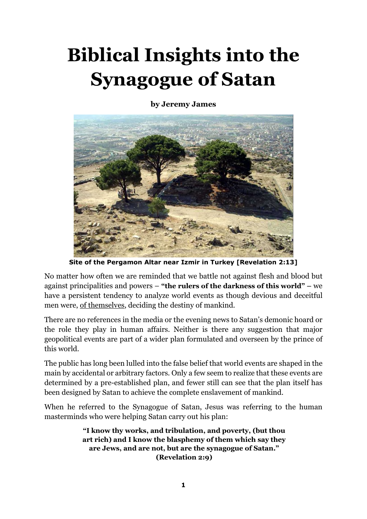# **Biblical Insights into the Synagogue of Satan**

**by Jeremy James** 



**Site of the Pergamon Altar near Izmir in Turkey [Revelation 2:13]** 

No matter how often we are reminded that we battle not against flesh and blood but against principalities and powers – **"the rulers of the darkness of this world" –** we have a persistent tendency to analyze world events as though devious and deceitful men were, of themselves, deciding the destiny of mankind.

There are no references in the media or the evening news to Satan's demonic hoard or the role they play in human affairs. Neither is there any suggestion that major geopolitical events are part of a wider plan formulated and overseen by the prince of this world.

The public has long been lulled into the false belief that world events are shaped in the main by accidental or arbitrary factors. Only a few seem to realize that these events are determined by a pre-established plan, and fewer still can see that the plan itself has been designed by Satan to achieve the complete enslavement of mankind.

When he referred to the Synagogue of Satan, Jesus was referring to the human masterminds who were helping Satan carry out his plan:

> **"I know thy works, and tribulation, and poverty, (but thou art rich) and I know the blasphemy of them which say they are Jews, and are not, but are the synagogue of Satan." (Revelation 2:9)**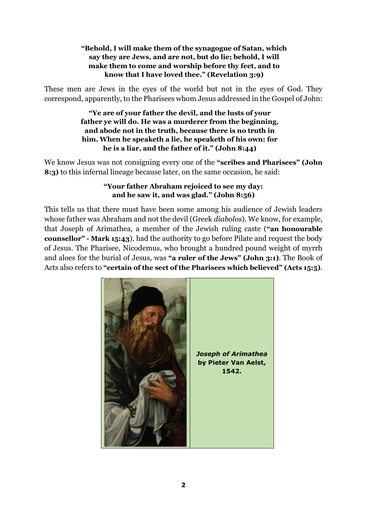## **"Behold, I will make them of the synagogue of Satan, which say they are Jews, and are not, but do lie; behold, I will make them to come and worship before thy feet, and to know that I have loved thee." (Revelation 3:9)**

These men are Jews in the eyes of the world but not in the eyes of God. They correspond, apparently, to the Pharisees whom Jesus addressed in the Gospel of John:

> **"Ye are of your father the devil, and the lusts of your father ye will do. He was a murderer from the beginning, and abode not in the truth, because there is no truth in him. When he speaketh a lie, he speaketh of his own: for he is a liar, and the father of it." (John 8:44)**

We know Jesus was not consigning every one of the **"scribes and Pharisees" (John 8:3)** to this infernal lineage because later, on the same occasion, he said:

## **"Your father Abraham rejoiced to see my day: and he saw it, and was glad." (John 8:56)**

This tells us that there must have been some among his audience of Jewish leaders whose father was Abraham and not the devil (Greek *diabolos*). We know, for example, that Joseph of Arimathea, a member of the Jewish ruling caste (**"an honourable counsellor" - Mark 15:43**), had the authority to go before Pilate and request the body of Jesus. The Pharisee, Nicodemus, who brought a hundred pound weight of myrrh and aloes for the burial of Jesus, was **"a ruler of the Jews" (John 3:1)**. The Book of Acts also refers to **"certain of the sect of the Pharisees which believed" (Acts 15:5)**.

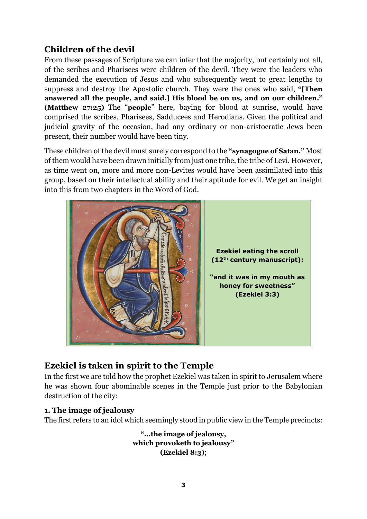# **Children of the devil**

From these passages of Scripture we can infer that the majority, but certainly not all, of the scribes and Pharisees were children of the devil. They were the leaders who demanded the execution of Jesus and who subsequently went to great lengths to suppress and destroy the Apostolic church. They were the ones who said, **"[Then answered all the people, and said,] His blood be on us, and on our children." (Matthew 27:25)** The "**people**" here, baying for blood at sunrise, would have comprised the scribes, Pharisees, Sadducees and Herodians. Given the political and judicial gravity of the occasion, had any ordinary or non-aristocratic Jews been present, their number would have been tiny.

These children of the devil must surely correspond to the **"synagogue of Satan."** Most of them would have been drawn initially from just one tribe, the tribe of Levi. However, as time went on, more and more non-Levites would have been assimilated into this group, based on their intellectual ability and their aptitude for evil. We get an insight into this from two chapters in the Word of God.



# **Ezekiel is taken in spirit to the Temple**

In the first we are told how the prophet Ezekiel was taken in spirit to Jerusalem where he was shown four abominable scenes in the Temple just prior to the Babylonian destruction of the city:

## **1. The image of jealousy**

The first refers to an idol which seemingly stood in public view in the Temple precincts:

**"...the image of jealousy, which provoketh to jealousy" (Ezekiel 8:3)**;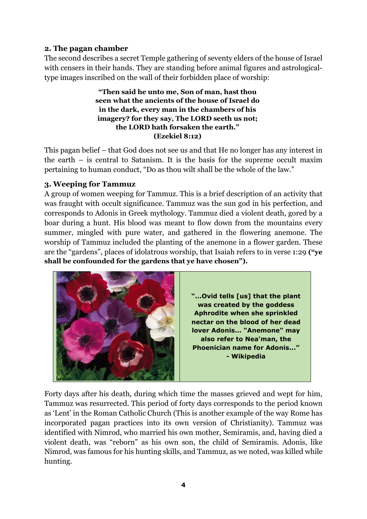## **2. The pagan chamber**

The second describes a secret Temple gathering of seventy elders of the house of Israel with censers in their hands. They are standing before animal figures and astrologicaltype images inscribed on the wall of their forbidden place of worship:

> **"Then said he unto me, Son of man, hast thou seen what the ancients of the house of Israel do in the dark, every man in the chambers of his imagery? for they say, The LORD seeth us not; the LORD hath forsaken the earth." (Ezekiel 8:12)**

This pagan belief – that God does not see us and that He no longer has any interest in the earth – is central to Satanism. It is the basis for the supreme occult maxim pertaining to human conduct, "Do as thou wilt shall be the whole of the law."

## **3. Weeping for Tammuz**

A group of women weeping for Tammuz. This is a brief description of an activity that was fraught with occult significance. Tammuz was the sun god in his perfection, and corresponds to Adonis in Greek mythology. Tammuz died a violent death, gored by a boar during a hunt. His blood was meant to flow down from the mountains every summer, mingled with pure water, and gathered in the flowering anemone. The worship of Tammuz included the planting of the anemone in a flower garden. These are the "gardens", places of idolatrous worship, that Isaiah refers to in verse 1:29 **("ye shall be confounded for the gardens that ye have chosen").**



Forty days after his death, during which time the masses grieved and wept for him, Tammuz was resurrected. This period of forty days corresponds to the period known as 'Lent' in the Roman Catholic Church (This is another example of the way Rome has incorporated pagan practices into its own version of Christianity). Tammuz was identified with Nimrod, who married his own mother, Semiramis, and, having died a violent death, was "reborn" as his own son, the child of Semiramis. Adonis, like Nimrod, was famous for his hunting skills, and Tammuz, as we noted, was killed while hunting.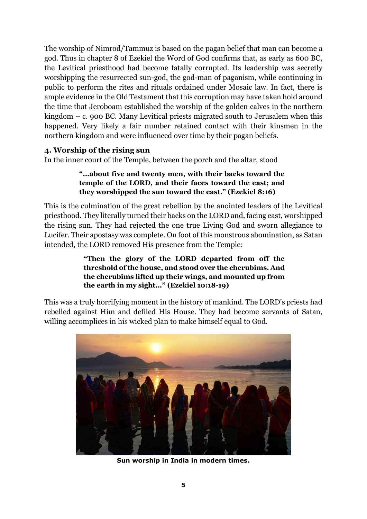The worship of Nimrod/Tammuz is based on the pagan belief that man can become a god. Thus in chapter 8 of Ezekiel the Word of God confirms that, as early as 600 BC, the Levitical priesthood had become fatally corrupted. Its leadership was secretly worshipping the resurrected sun-god, the god-man of paganism, while continuing in public to perform the rites and rituals ordained under Mosaic law. In fact, there is ample evidence in the Old Testament that this corruption may have taken hold around the time that Jeroboam established the worship of the golden calves in the northern kingdom – c. 900 BC. Many Levitical priests migrated south to Jerusalem when this happened. Very likely a fair number retained contact with their kinsmen in the northern kingdom and were influenced over time by their pagan beliefs.

## **4. Worship of the rising sun**

In the inner court of the Temple, between the porch and the altar, stood

## **"...about five and twenty men, with their backs toward the temple of the LORD, and their faces toward the east; and they worshipped the sun toward the east." (Ezekiel 8:16)**

This is the culmination of the great rebellion by the anointed leaders of the Levitical priesthood. They literally turned their backs on the LORD and, facing east, worshipped the rising sun. They had rejected the one true Living God and sworn allegiance to Lucifer. Their apostasy was complete. On foot of this monstrous abomination, as Satan intended, the LORD removed His presence from the Temple:

## **"Then the glory of the LORD departed from off the threshold of the house, and stood over the cherubims. And the cherubims lifted up their wings, and mounted up from the earth in my sight..." (Ezekiel 10:18-19)**

This was a truly horrifying moment in the history of mankind. The LORD's priests had rebelled against Him and defiled His House. They had become servants of Satan, willing accomplices in his wicked plan to make himself equal to God.



**Sun worship in India in modern times.**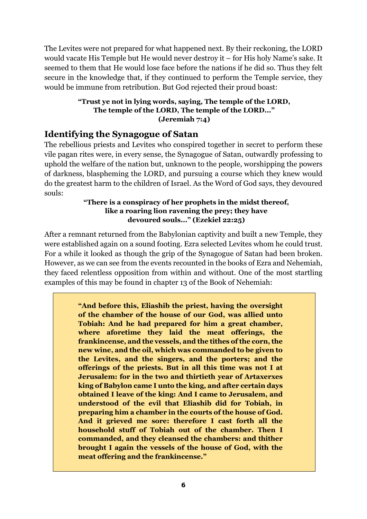The Levites were not prepared for what happened next. By their reckoning, the LORD would vacate His Temple but He would never destroy it – for His holy Name's sake. It seemed to them that He would lose face before the nations if he did so. Thus they felt secure in the knowledge that, if they continued to perform the Temple service, they would be immune from retribution. But God rejected their proud boast:

## **"Trust ye not in lying words, saying, The temple of the LORD, The temple of the LORD, The temple of the LORD..." (Jeremiah 7:4)**

## **Identifying the Synagogue of Satan**

The rebellious priests and Levites who conspired together in secret to perform these vile pagan rites were, in every sense, the Synagogue of Satan, outwardly professing to uphold the welfare of the nation but, unknown to the people, worshipping the powers of darkness, blaspheming the LORD, and pursuing a course which they knew would do the greatest harm to the children of Israel. As the Word of God says, they devoured souls:

## **"There is a conspiracy of her prophets in the midst thereof, like a roaring lion ravening the prey; they have devoured souls..." (Ezekiel 22:25)**

After a remnant returned from the Babylonian captivity and built a new Temple, they were established again on a sound footing. Ezra selected Levites whom he could trust. For a while it looked as though the grip of the Synagogue of Satan had been broken. However, as we can see from the events recounted in the books of Ezra and Nehemiah, they faced relentless opposition from within and without. One of the most startling examples of this may be found in chapter 13 of the Book of Nehemiah:

> **"And before this, Eliashib the priest, having the oversight of the chamber of the house of our God, was allied unto Tobiah: And he had prepared for him a great chamber, where aforetime they laid the meat offerings, the frankincense, and the vessels, and the tithes of the corn, the new wine, and the oil, which was commanded to be given to the Levites, and the singers, and the porters; and the offerings of the priests. But in all this time was not I at Jerusalem: for in the two and thirtieth year of Artaxerxes king of Babylon came I unto the king, and after certain days obtained I leave of the king: And I came to Jerusalem, and understood of the evil that Eliashib did for Tobiah, in preparing him a chamber in the courts of the house of God. And it grieved me sore: therefore I cast forth all the household stuff of Tobiah out of the chamber. Then I commanded, and they cleansed the chambers: and thither brought I again the vessels of the house of God, with the meat offering and the frankincense."**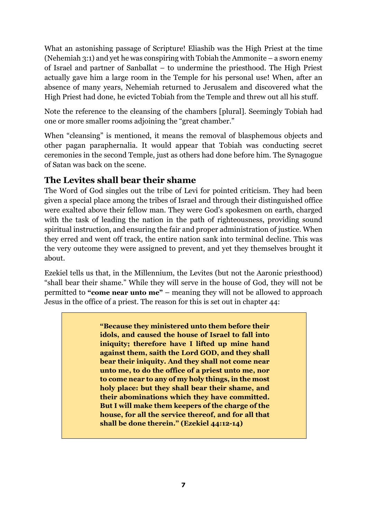What an astonishing passage of Scripture! Eliashib was the High Priest at the time (Nehemiah 3:1) and yet he was conspiring with Tobiah the Ammonite – a sworn enemy of Israel and partner of Sanballat – to undermine the priesthood. The High Priest actually gave him a large room in the Temple for his personal use! When, after an absence of many years, Nehemiah returned to Jerusalem and discovered what the High Priest had done, he evicted Tobiah from the Temple and threw out all his stuff.

Note the reference to the cleansing of the chambers [plural]. Seemingly Tobiah had one or more smaller rooms adjoining the "great chamber."

When "cleansing" is mentioned, it means the removal of blasphemous objects and other pagan paraphernalia. It would appear that Tobiah was conducting secret ceremonies in the second Temple, just as others had done before him. The Synagogue of Satan was back on the scene.

# **The Levites shall bear their shame**

The Word of God singles out the tribe of Levi for pointed criticism. They had been given a special place among the tribes of Israel and through their distinguished office were exalted above their fellow man. They were God's spokesmen on earth, charged with the task of leading the nation in the path of righteousness, providing sound spiritual instruction, and ensuring the fair and proper administration of justice. When they erred and went off track, the entire nation sank into terminal decline. This was the very outcome they were assigned to prevent, and yet they themselves brought it about.

Ezekiel tells us that, in the Millennium, the Levites (but not the Aaronic priesthood) "shall bear their shame." While they will serve in the house of God, they will not be permitted to **"come near unto me"** – meaning they will not be allowed to approach Jesus in the office of a priest. The reason for this is set out in chapter 44:

> **"Because they ministered unto them before their idols, and caused the house of Israel to fall into iniquity; therefore have I lifted up mine hand against them, saith the Lord GOD, and they shall bear their iniquity. And they shall not come near unto me, to do the office of a priest unto me, nor to come near to any of my holy things, in the most holy place: but they shall bear their shame, and their abominations which they have committed. But I will make them keepers of the charge of the house, for all the service thereof, and for all that shall be done therein." (Ezekiel 44:12-14)**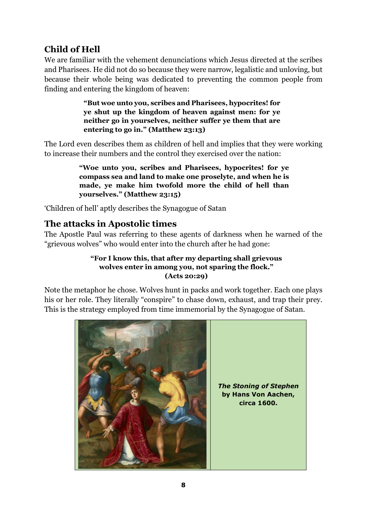# **Child of Hell**

We are familiar with the vehement denunciations which Jesus directed at the scribes and Pharisees. He did not do so because they were narrow, legalistic and unloving, but because their whole being was dedicated to preventing the common people from finding and entering the kingdom of heaven:

> **"But woe unto you, scribes and Pharisees, hypocrites! for ye shut up the kingdom of heaven against men: for ye neither go in yourselves, neither suffer ye them that are entering to go in." (Matthew 23:13)**

The Lord even describes them as children of hell and implies that they were working to increase their numbers and the control they exercised over the nation:

> **"Woe unto you, scribes and Pharisees, hypocrites! for ye compass sea and land to make one proselyte, and when he is made, ye make him twofold more the child of hell than yourselves." (Matthew 23:15)**

'Children of hell' aptly describes the Synagogue of Satan

# **The attacks in Apostolic times**

The Apostle Paul was referring to these agents of darkness when he warned of the "grievous wolves" who would enter into the church after he had gone:

## **"For I know this, that after my departing shall grievous wolves enter in among you, not sparing the flock." (Acts 20:29)**

Note the metaphor he chose. Wolves hunt in packs and work together. Each one plays his or her role. They literally "conspire" to chase down, exhaust, and trap their prey. This is the strategy employed from time immemorial by the Synagogue of Satan.

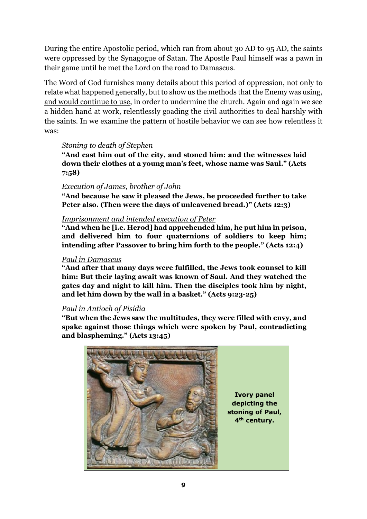During the entire Apostolic period, which ran from about 30 AD to 95 AD, the saints were oppressed by the Synagogue of Satan. The Apostle Paul himself was a pawn in their game until he met the Lord on the road to Damascus.

The Word of God furnishes many details about this period of oppression, not only to relate what happened generally, but to show us the methods that the Enemy was using, and would continue to use, in order to undermine the church. Again and again we see a hidden hand at work, relentlessly goading the civil authorities to deal harshly with the saints. In we examine the pattern of hostile behavior we can see how relentless it was:

## *Stoning to death of Stephen*

**"And cast him out of the city, and stoned him: and the witnesses laid down their clothes at a young man's feet, whose name was Saul." (Acts 7:58)**

## *Execution of James, brother of John*

**"And because he saw it pleased the Jews, he proceeded further to take Peter also. (Then were the days of unleavened bread.)" (Acts 12:3)**

## *Imprisonment and intended execution of Peter*

**"And when he [i.e. Herod] had apprehended him, he put him in prison, and delivered him to four quaternions of soldiers to keep him; intending after Passover to bring him forth to the people." (Acts 12:4)**

#### *Paul in Damascus*

**"And after that many days were fulfilled, the Jews took counsel to kill him: But their laying await was known of Saul. And they watched the gates day and night to kill him. Then the disciples took him by night, and let him down by the wall in a basket." (Acts 9:23-25)** 

## *Paul in Antioch of Pisidia*

**"But when the Jews saw the multitudes, they were filled with envy, and spake against those things which were spoken by Paul, contradicting and blaspheming." (Acts 13:45)** 

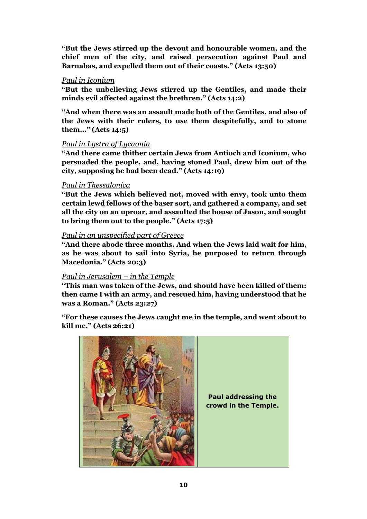**"But the Jews stirred up the devout and honourable women, and the chief men of the city, and raised persecution against Paul and Barnabas, and expelled them out of their coasts." (Acts 13:50)** 

#### *Paul in Iconium*

**"But the unbelieving Jews stirred up the Gentiles, and made their minds evil affected against the brethren." (Acts 14:2)**

**"And when there was an assault made both of the Gentiles, and also of the Jews with their rulers, to use them despitefully, and to stone them..." (Acts 14:5)** 

#### *Paul in Lystra of Lycaonia*

**"And there came thither certain Jews from Antioch and Iconium, who persuaded the people, and, having stoned Paul, drew him out of the city, supposing he had been dead." (Acts 14:19)**

#### *Paul in Thessalonica*

**"But the Jews which believed not, moved with envy, took unto them certain lewd fellows of the baser sort, and gathered a company, and set all the city on an uproar, and assaulted the house of Jason, and sought to bring them out to the people." (Acts 17:5)**

#### *Paul in an unspecified part of Greece*

**"And there abode three months. And when the Jews laid wait for him, as he was about to sail into Syria, he purposed to return through Macedonia." (Acts 20:3)**

#### *Paul in Jerusalem – in the Temple*

**"This man was taken of the Jews, and should have been killed of them: then came I with an army, and rescued him, having understood that he was a Roman." (Acts 23:27)**

**"For these causes the Jews caught me in the temple, and went about to kill me." (Acts 26:21)** 

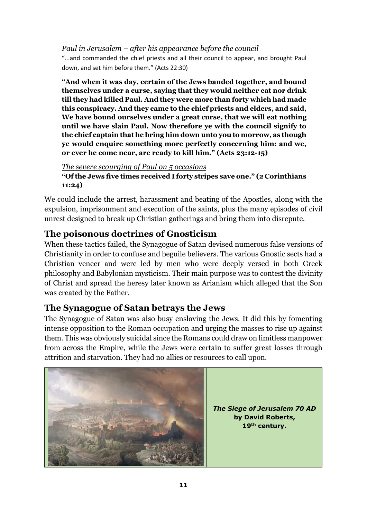*Paul in Jerusalem – after his appearance before the council* 

"...and commanded the chief priests and all their council to appear, and brought Paul down, and set him before them." (Acts 22:30)

**"And when it was day, certain of the Jews banded together, and bound themselves under a curse, saying that they would neither eat nor drink till they had killed Paul. And they were more than forty which had made this conspiracy. And they came to the chief priests and elders, and said, We have bound ourselves under a great curse, that we will eat nothing until we have slain Paul. Now therefore ye with the council signify to the chief captain that he bring him down unto you to morrow, as though ye would enquire something more perfectly concerning him: and we, or ever he come near, are ready to kill him." (Acts 23:12-15)**

*The severe scourging of Paul on 5 occasions*  **"Of the Jews five times received I forty stripes save one." (2 Corinthians 11:24)**

We could include the arrest, harassment and beating of the Apostles, along with the expulsion, imprisonment and execution of the saints, plus the many episodes of civil unrest designed to break up Christian gatherings and bring them into disrepute.

# **The poisonous doctrines of Gnosticism**

When these tactics failed, the Synagogue of Satan devised numerous false versions of Christianity in order to confuse and beguile believers. The various Gnostic sects had a Christian veneer and were led by men who were deeply versed in both Greek philosophy and Babylonian mysticism. Their main purpose was to contest the divinity of Christ and spread the heresy later known as Arianism which alleged that the Son was created by the Father.

# **The Synagogue of Satan betrays the Jews**

The Synagogue of Satan was also busy enslaving the Jews. It did this by fomenting intense opposition to the Roman occupation and urging the masses to rise up against them. This was obviously suicidal since the Romans could draw on limitless manpower from across the Empire, while the Jews were certain to suffer great losses through attrition and starvation. They had no allies or resources to call upon.

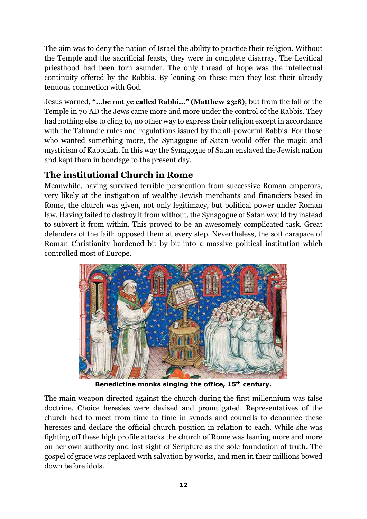The aim was to deny the nation of Israel the ability to practice their religion. Without the Temple and the sacrificial feasts, they were in complete disarray. The Levitical priesthood had been torn asunder. The only thread of hope was the intellectual continuity offered by the Rabbis. By leaning on these men they lost their already tenuous connection with God.

Jesus warned, **"...be not ye called Rabbi..." (Matthew 23:8)**, but from the fall of the Temple in 70 AD the Jews came more and more under the control of the Rabbis. They had nothing else to cling to, no other way to express their religion except in accordance with the Talmudic rules and regulations issued by the all-powerful Rabbis. For those who wanted something more, the Synagogue of Satan would offer the magic and mysticism of Kabbalah. In this way the Synagogue of Satan enslaved the Jewish nation and kept them in bondage to the present day.

# **The institutional Church in Rome**

Meanwhile, having survived terrible persecution from successive Roman emperors, very likely at the instigation of wealthy Jewish merchants and financiers based in Rome, the church was given, not only legitimacy, but political power under Roman law. Having failed to destroy it from without, the Synagogue of Satan would try instead to subvert it from within. This proved to be an awesomely complicated task. Great defenders of the faith opposed them at every step. Nevertheless, the soft carapace of Roman Christianity hardened bit by bit into a massive political institution which controlled most of Europe.



**Benedictine monks singing the office, 15th century.** 

The main weapon directed against the church during the first millennium was false doctrine. Choice heresies were devised and promulgated. Representatives of the church had to meet from time to time in synods and councils to denounce these heresies and declare the official church position in relation to each. While she was fighting off these high profile attacks the church of Rome was leaning more and more on her own authority and lost sight of Scripture as the sole foundation of truth. The gospel of grace was replaced with salvation by works, and men in their millions bowed down before idols.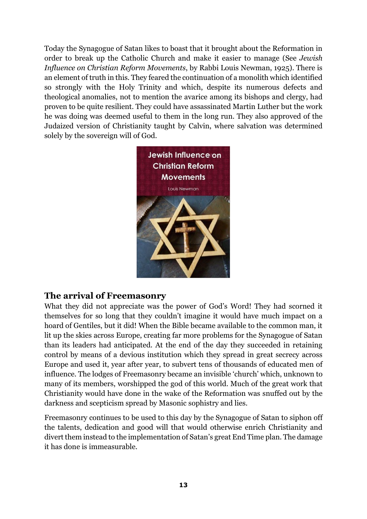Today the Synagogue of Satan likes to boast that it brought about the Reformation in order to break up the Catholic Church and make it easier to manage (See *Jewish Influence on Christian Reform Movements*, by Rabbi Louis Newman, 1925). There is an element of truth in this. They feared the continuation of a monolith which identified so strongly with the Holy Trinity and which, despite its numerous defects and theological anomalies, not to mention the avarice among its bishops and clergy, had proven to be quite resilient. They could have assassinated Martin Luther but the work he was doing was deemed useful to them in the long run. They also approved of the Judaized version of Christianity taught by Calvin, where salvation was determined solely by the sovereign will of God.



## **The arrival of Freemasonry**

What they did not appreciate was the power of God's Word! They had scorned it themselves for so long that they couldn't imagine it would have much impact on a hoard of Gentiles, but it did! When the Bible became available to the common man, it lit up the skies across Europe, creating far more problems for the Synagogue of Satan than its leaders had anticipated. At the end of the day they succeeded in retaining control by means of a devious institution which they spread in great secrecy across Europe and used it, year after year, to subvert tens of thousands of educated men of influence. The lodges of Freemasonry became an invisible 'church' which, unknown to many of its members, worshipped the god of this world. Much of the great work that Christianity would have done in the wake of the Reformation was snuffed out by the darkness and scepticism spread by Masonic sophistry and lies.

Freemasonry continues to be used to this day by the Synagogue of Satan to siphon off the talents, dedication and good will that would otherwise enrich Christianity and divert them instead to the implementation of Satan's great End Time plan. The damage it has done is immeasurable.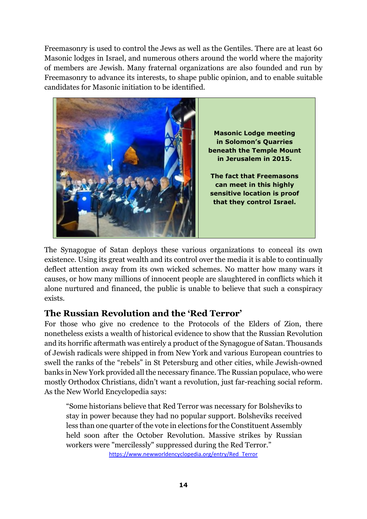Freemasonry is used to control the Jews as well as the Gentiles. There are at least 60 Masonic lodges in Israel, and numerous others around the world where the majority of members are Jewish. Many fraternal organizations are also founded and run by Freemasonry to advance its interests, to shape public opinion, and to enable suitable candidates for Masonic initiation to be identified.



The Synagogue of Satan deploys these various organizations to conceal its own existence. Using its great wealth and its control over the media it is able to continually deflect attention away from its own wicked schemes. No matter how many wars it causes, or how many millions of innocent people are slaughtered in conflicts which it alone nurtured and financed, the public is unable to believe that such a conspiracy exists.

# **The Russian Revolution and the 'Red Terror'**

For those who give no credence to the Protocols of the Elders of Zion, there nonetheless exists a wealth of historical evidence to show that the Russian Revolution and its horrific aftermath was entirely a product of the Synagogue of Satan. Thousands of Jewish radicals were shipped in from New York and various European countries to swell the ranks of the "rebels" in St Petersburg and other cities, while Jewish-owned banks in New York provided all the necessary finance. The Russian populace, who were mostly Orthodox Christians, didn't want a revolution, just far-reaching social reform. As the New World Encyclopedia says:

"Some historians believe that Red Terror was necessary for Bolsheviks to stay in power because they had no popular support. Bolsheviks received less than one quarter of the vote in elections for the Constituent Assembly held soon after the October Revolution. Massive strikes by Russian workers were "mercilessly" suppressed during the Red Terror."

https://www.newworldencyclopedia.org/entry/Red\_Terror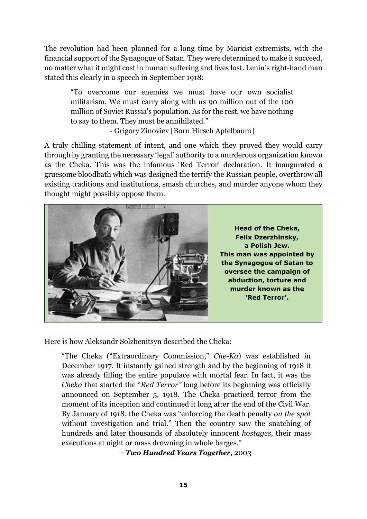The revolution had been planned for a long time by Marxist extremists, with the financial support of the Synagogue of Satan. They were determined to make it succeed, no matter what it might cost in human suffering and lives lost. Lenin's right-hand man stated this clearly in a speech in September 1918:

"To overcome our enemies we must have our own socialist militarism. We must carry along with us 90 million out of the 100 million of Soviet Russia's population. As for the rest, we have nothing to say to them. They must be annihilated."

- Grigory Zinoviev [Born Hirsch Apfelbaum]

A truly chilling statement of intent, and one which they proved they would carry through by granting the necessary 'legal' authority to a murderous organization known as the Cheka. This was the infamous 'Red Terror' declaration. It inaugurated a gruesome bloodbath which was designed the terrify the Russian people, overthrow all existing traditions and institutions, smash churches, and murder anyone whom they thought might possibly oppose them.



Here is how Aleksandr Solzhenitsyn described the Cheka:

"The Cheka ("Extraordinary Commission," *Che-Ka*) was established in December 1917. It instantly gained strength and by the beginning of 1918 it was already filling the entire populace with mortal fear. In fact, it was the *Cheka* that started the "*Red Terror"* long before its beginning was officially announced on September 5, 1918. The Cheka practiced terror from the moment of its inception and continued it long after the end of the Civil War. By January of 1918, the Cheka was "enforcing the death penalty *on the spot*  without investigation and trial." Then the country saw the snatching of hundreds and later thousands of absolutely innocent *hostages*, their mass executions at night or mass drowning in whole barges."

- *Two Hundred Years Together*, 2003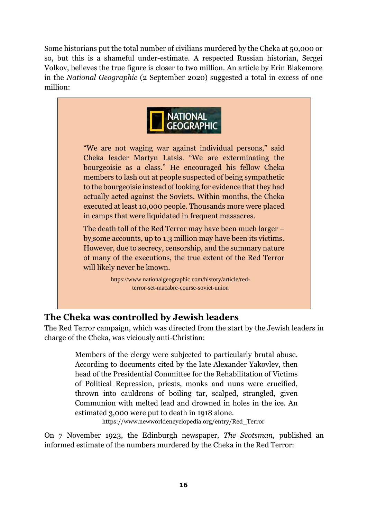Some historians put the total number of civilians murdered by the Cheka at 50,000 or so, but this is a shameful under-estimate. A respected Russian historian, Sergei Volkov, believes the true figure is closer to two million. An article by Erin Blakemore in the *National Geographic* (2 September 2020) suggested a total in excess of one million:



"We are not waging war against individual persons," said Cheka leader Martyn Latsis. "We are exterminating the bourgeoisie as a class." He encouraged his fellow Cheka members to lash out at people suspected of being sympathetic to the bourgeoisie instead of looking for evidence that they had actually acted against the Soviets. Within months, the Cheka executed at least 10,000 people. Thousands more were placed in camps that were liquidated in frequent massacres.

The death toll of the Red Terror may have been much larger – by some accounts, up to 1.3 million may have been its victims. However, due to secrecy, censorship, and the summary nature of many of the executions, the true extent of the Red Terror will likely never be known.

> https://www.nationalgeographic.com/history/article/redterror-set-macabre-course-soviet-union

# **The Cheka was controlled by Jewish leaders**

The Red Terror campaign, which was directed from the start by the Jewish leaders in charge of the Cheka, was viciously anti-Christian:

> Members of the clergy were subjected to particularly brutal abuse. According to documents cited by the late Alexander Yakovlev, then head of the Presidential Committee for the Rehabilitation of Victims of Political Repression, priests, monks and nuns were crucified, thrown into cauldrons of boiling tar, scalped, strangled, given Communion with melted lead and drowned in holes in the ice. An estimated 3,000 were put to death in 1918 alone.

https://www.newworldencyclopedia.org/entry/Red\_Terror

On 7 November 1923, the Edinburgh newspaper, *The Scotsman*, published an informed estimate of the numbers murdered by the Cheka in the Red Terror: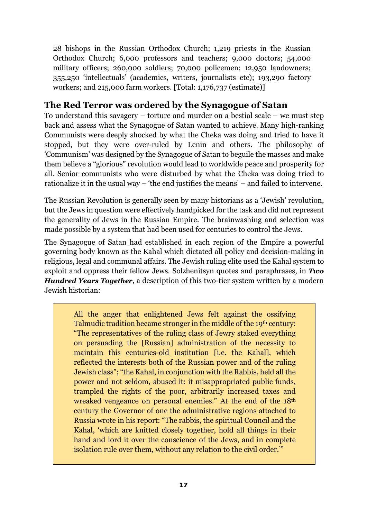28 bishops in the Russian Orthodox Church; 1,219 priests in the Russian Orthodox Church; 6,000 professors and teachers; 9,000 doctors; 54,000 military officers; 260,000 soldiers; 70,000 policemen; 12,950 landowners; 355,250 'intellectuals' (academics, writers, journalists etc); 193,290 factory workers; and 215,000 farm workers. [Total: 1,176,737 (estimate)]

# **The Red Terror was ordered by the Synagogue of Satan**

To understand this savagery – torture and murder on a bestial scale – we must step back and assess what the Synagogue of Satan wanted to achieve. Many high-ranking Communists were deeply shocked by what the Cheka was doing and tried to have it stopped, but they were over-ruled by Lenin and others. The philosophy of 'Communism' was designed by the Synagogue of Satan to beguile the masses and make them believe a "glorious" revolution would lead to worldwide peace and prosperity for all. Senior communists who were disturbed by what the Cheka was doing tried to rationalize it in the usual way – 'the end justifies the means' – and failed to intervene.

The Russian Revolution is generally seen by many historians as a 'Jewish' revolution, but the Jews in question were effectively handpicked for the task and did not represent the generality of Jews in the Russian Empire. The brainwashing and selection was made possible by a system that had been used for centuries to control the Jews.

The Synagogue of Satan had established in each region of the Empire a powerful governing body known as the Kahal which dictated all policy and decision-making in religious, legal and communal affairs. The Jewish ruling elite used the Kahal system to exploit and oppress their fellow Jews. Solzhenitsyn quotes and paraphrases, in *Two Hundred Years Together*, a description of this two-tier system written by a modern Jewish historian:

> All the anger that enlightened Jews felt against the ossifying Talmudic tradition became stronger in the middle of the 19<sup>th</sup> century: "The representatives of the ruling class of Jewry staked everything on persuading the [Russian] administration of the necessity to maintain this centuries-old institution [i.e. the Kahal], which reflected the interests both of the Russian power and of the ruling Jewish class"; "the Kahal, in conjunction with the Rabbis, held all the power and not seldom, abused it: it misappropriated public funds, trampled the rights of the poor, arbitrarily increased taxes and wreaked vengeance on personal enemies." At the end of the 18<sup>th</sup> century the Governor of one the administrative regions attached to Russia wrote in his report: "The rabbis, the spiritual Council and the Kahal, 'which are knitted closely together, hold all things in their hand and lord it over the conscience of the Jews, and in complete isolation rule over them, without any relation to the civil order.'"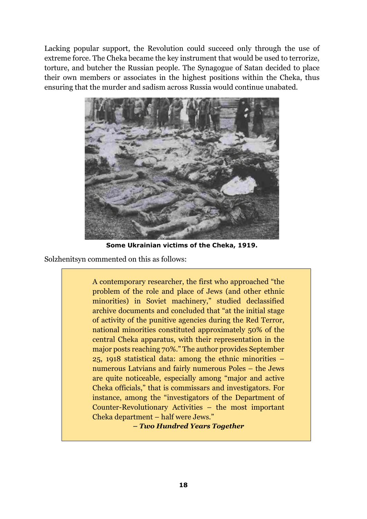Lacking popular support, the Revolution could succeed only through the use of extreme force. The Cheka became the key instrument that would be used to terrorize, torture, and butcher the Russian people. The Synagogue of Satan decided to place their own members or associates in the highest positions within the Cheka, thus ensuring that the murder and sadism across Russia would continue unabated.



**Some Ukrainian victims of the Cheka, 1919.** 

Solzhenitsyn commented on this as follows:

A contemporary researcher, the first who approached "the problem of the role and place of Jews (and other ethnic minorities) in Soviet machinery," studied declassified archive documents and concluded that "at the initial stage of activity of the punitive agencies during the Red Terror, national minorities constituted approximately 50% of the central Cheka apparatus, with their representation in the major posts reaching 70%." The author provides September 25, 1918 statistical data: among the ethnic minorities – numerous Latvians and fairly numerous Poles – the Jews are quite noticeable, especially among "major and active Cheka officials," that is commissars and investigators. For instance, among the "investigators of the Department of Counter-Revolutionary Activities – the most important Cheka department – half were Jews."

*– Two Hundred Years Together*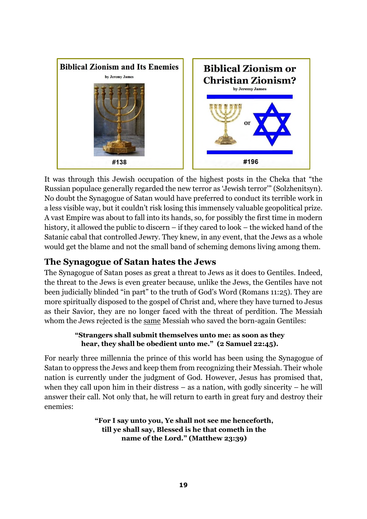

It was through this Jewish occupation of the highest posts in the Cheka that "the Russian populace generally regarded the new terror as 'Jewish terror'" (Solzhenitsyn). No doubt the Synagogue of Satan would have preferred to conduct its terrible work in a less visible way, but it couldn't risk losing this immensely valuable geopolitical prize. A vast Empire was about to fall into its hands, so, for possibly the first time in modern history, it allowed the public to discern – if they cared to look – the wicked hand of the Satanic cabal that controlled Jewry. They knew, in any event, that the Jews as a whole would get the blame and not the small band of scheming demons living among them.

# **The Synagogue of Satan hates the Jews**

The Synagogue of Satan poses as great a threat to Jews as it does to Gentiles. Indeed, the threat to the Jews is even greater because, unlike the Jews, the Gentiles have not been judicially blinded "in part" to the truth of God's Word (Romans 11:25). They are more spiritually disposed to the gospel of Christ and, where they have turned to Jesus as their Savior, they are no longer faced with the threat of perdition. The Messiah whom the Jews rejected is the same Messiah who saved the born-again Gentiles:

## **"Strangers shall submit themselves unto me: as soon as they hear, they shall be obedient unto me." (2 Samuel 22:45).**

For nearly three millennia the prince of this world has been using the Synagogue of Satan to oppress the Jews and keep them from recognizing their Messiah. Their whole nation is currently under the judgment of God. However, Jesus has promised that, when they call upon him in their distress  $-$  as a nation, with godly sincerity  $-$  he will answer their call. Not only that, he will return to earth in great fury and destroy their enemies:

## **"For I say unto you, Ye shall not see me henceforth, till ye shall say, Blessed is he that cometh in the name of the Lord." (Matthew 23:39)**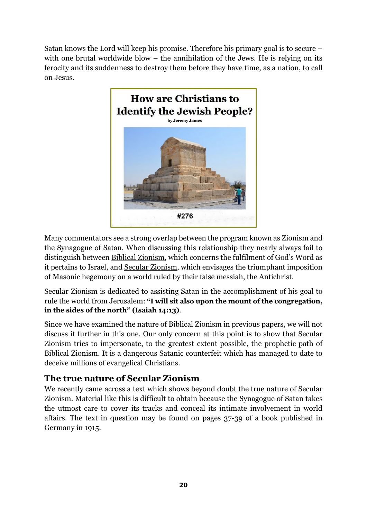Satan knows the Lord will keep his promise. Therefore his primary goal is to secure – with one brutal worldwide blow – the annihilation of the Jews. He is relying on its ferocity and its suddenness to destroy them before they have time, as a nation, to call on Jesus.



Many commentators see a strong overlap between the program known as Zionism and the Synagogue of Satan. When discussing this relationship they nearly always fail to distinguish between Biblical Zionism, which concerns the fulfilment of God's Word as it pertains to Israel, and Secular Zionism, which envisages the triumphant imposition of Masonic hegemony on a world ruled by their false messiah, the Antichrist.

Secular Zionism is dedicated to assisting Satan in the accomplishment of his goal to rule the world from Jerusalem: **"I will sit also upon the mount of the congregation, in the sides of the north" (Isaiah 14:13)**.

Since we have examined the nature of Biblical Zionism in previous papers, we will not discuss it further in this one. Our only concern at this point is to show that Secular Zionism tries to impersonate, to the greatest extent possible, the prophetic path of Biblical Zionism. It is a dangerous Satanic counterfeit which has managed to date to deceive millions of evangelical Christians.

# **The true nature of Secular Zionism**

We recently came across a text which shows beyond doubt the true nature of Secular Zionism. Material like this is difficult to obtain because the Synagogue of Satan takes the utmost care to cover its tracks and conceal its intimate involvement in world affairs. The text in question may be found on pages 37-39 of a book published in Germany in 1915.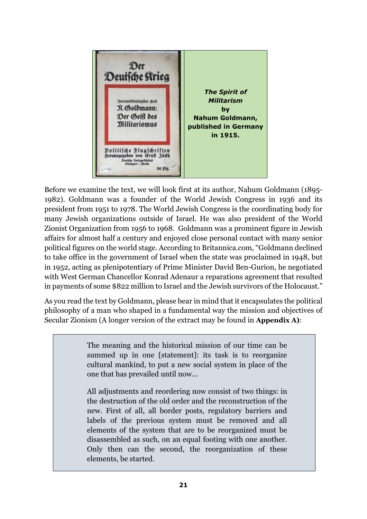

Before we examine the text, we will look first at its author, Nahum Goldmann (1895- 1982). Goldmann was a founder of the World Jewish Congress in 1936 and its president from 1951 to 1978. The World Jewish Congress is the coordinating body for many Jewish organizations outside of Israel. He was also president of the World Zionist Organization from 1956 to 1968. Goldmann was a prominent figure in Jewish affairs for almost half a century and enjoyed close personal contact with many senior political figures on the world stage. According to Britannica.com, "Goldmann declined to take office in the government of Israel when the state was proclaimed in 1948, but in 1952, acting as plenipotentiary of Prime Minister David Ben-Gurion, he negotiated with West German Chancellor Konrad Adenaur a reparations agreement that resulted in payments of some \$822 million to Israel and the Jewish survivors of the Holocaust."

As you read the text by Goldmann, please bear in mind that it encapsulates the political philosophy of a man who shaped in a fundamental way the mission and objectives of Secular Zionism (A longer version of the extract may be found in **Appendix A)**:

> The meaning and the historical mission of our time can be summed up in one [statement]: its task is to reorganize cultural mankind, to put a new social system in place of the one that has prevailed until now...

> All adjustments and reordering now consist of two things: in the destruction of the old order and the reconstruction of the new. First of all, all border posts, regulatory barriers and labels of the previous system must be removed and all elements of the system that are to be reorganized must be disassembled as such, on an equal footing with one another. Only then can the second, the reorganization of these elements, be started.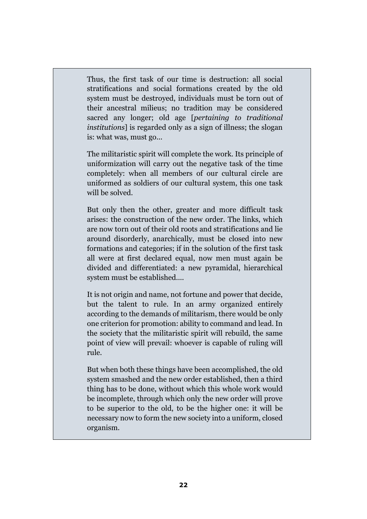Thus, the first task of our time is destruction: all social stratifications and social formations created by the old system must be destroyed, individuals must be torn out of their ancestral milieus; no tradition may be considered sacred any longer; old age [*pertaining to traditional institutions*] is regarded only as a sign of illness; the slogan is: what was, must go...

The militaristic spirit will complete the work. Its principle of uniformization will carry out the negative task of the time completely: when all members of our cultural circle are uniformed as soldiers of our cultural system, this one task will be solved.

But only then the other, greater and more difficult task arises: the construction of the new order. The links, which are now torn out of their old roots and stratifications and lie around disorderly, anarchically, must be closed into new formations and categories; if in the solution of the first task all were at first declared equal, now men must again be divided and differentiated: a new pyramidal, hierarchical system must be established....

It is not origin and name, not fortune and power that decide, but the talent to rule. In an army organized entirely according to the demands of militarism, there would be only one criterion for promotion: ability to command and lead. In the society that the militaristic spirit will rebuild, the same point of view will prevail: whoever is capable of ruling will rule.

But when both these things have been accomplished, the old system smashed and the new order established, then a third thing has to be done, without which this whole work would be incomplete, through which only the new order will prove to be superior to the old, to be the higher one: it will be necessary now to form the new society into a uniform, closed organism.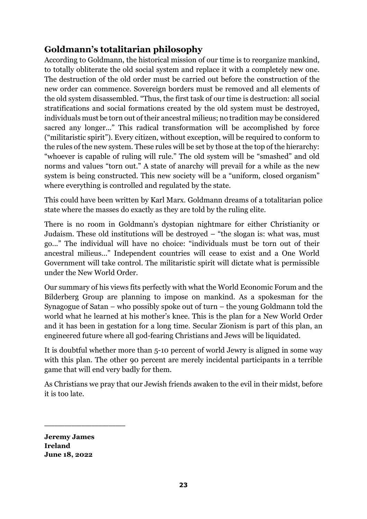# **Goldmann's totalitarian philosophy**

According to Goldmann, the historical mission of our time is to reorganize mankind, to totally obliterate the old social system and replace it with a completely new one. The destruction of the old order must be carried out before the construction of the new order can commence. Sovereign borders must be removed and all elements of the old system disassembled. "Thus, the first task of our time is destruction: all social stratifications and social formations created by the old system must be destroyed, individuals must be torn out of their ancestral milieus; no tradition may be considered sacred any longer..." This radical transformation will be accomplished by force ("militaristic spirit"). Every citizen, without exception, will be required to conform to the rules of the new system. These rules will be set by those at the top of the hierarchy: "whoever is capable of ruling will rule." The old system will be "smashed" and old norms and values "torn out." A state of anarchy will prevail for a while as the new system is being constructed. This new society will be a "uniform, closed organism" where everything is controlled and regulated by the state.

This could have been written by Karl Marx. Goldmann dreams of a totalitarian police state where the masses do exactly as they are told by the ruling elite.

There is no room in Goldmann's dystopian nightmare for either Christianity or Judaism. These old institutions will be destroyed – "the slogan is: what was, must go..." The individual will have no choice: "individuals must be torn out of their ancestral milieus..." Independent countries will cease to exist and a One World Government will take control. The militaristic spirit will dictate what is permissible under the New World Order.

Our summary of his views fits perfectly with what the World Economic Forum and the Bilderberg Group are planning to impose on mankind. As a spokesman for the Synagogue of Satan – who possibly spoke out of turn – the young Goldmann told the world what he learned at his mother's knee. This is the plan for a New World Order and it has been in gestation for a long time. Secular Zionism is part of this plan, an engineered future where all god-fearing Christians and Jews will be liquidated.

It is doubtful whether more than 5-10 percent of world Jewry is aligned in some way with this plan. The other 90 percent are merely incidental participants in a terrible game that will end very badly for them.

As Christians we pray that our Jewish friends awaken to the evil in their midst, before it is too late.

**Jeremy James Ireland June 18, 2022**

\_\_\_\_\_\_\_\_\_\_\_\_\_\_\_\_\_\_\_\_\_\_\_\_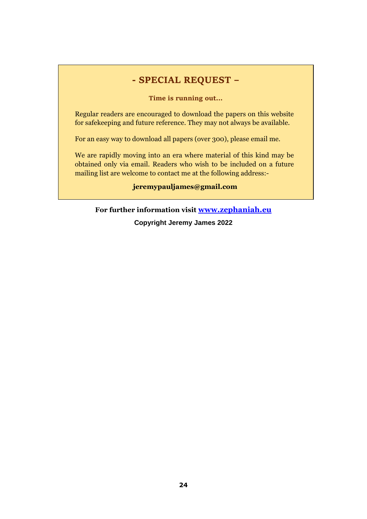## **- SPECIAL REQUEST –**

**Time is running out...** 

Regular readers are encouraged to download the papers on this website for safekeeping and future reference. They may not always be available.

For an easy way to download all papers (over 300), please email me.

We are rapidly moving into an era where material of this kind may be obtained only via email. Readers who wish to be included on a future mailing list are welcome to contact me at the following address:-

**jeremypauljames@gmail.com**

**For further information visit www.zephaniah.eu**

**Copyright Jeremy James 2022**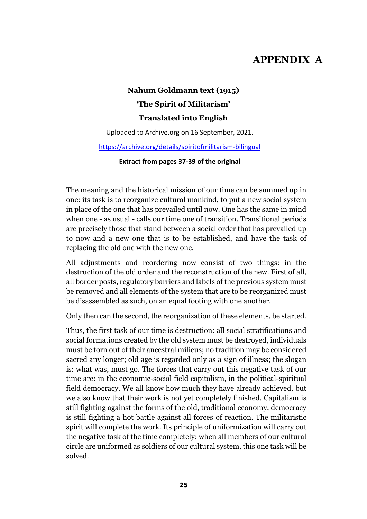# **APPENDIX A**

# **Nahum Goldmann text (1915) 'The Spirit of Militarism' Translated into English**

Uploaded to Archive.org on 16 September, 2021.

#### https://archive.org/details/spiritofmilitarism-bilingual

**Extract from pages 37-39 of the original** 

The meaning and the historical mission of our time can be summed up in one: its task is to reorganize cultural mankind, to put a new social system in place of the one that has prevailed until now. One has the same in mind when one - as usual - calls our time one of transition. Transitional periods are precisely those that stand between a social order that has prevailed up to now and a new one that is to be established, and have the task of replacing the old one with the new one.

All adjustments and reordering now consist of two things: in the destruction of the old order and the reconstruction of the new. First of all, all border posts, regulatory barriers and labels of the previous system must be removed and all elements of the system that are to be reorganized must be disassembled as such, on an equal footing with one another.

Only then can the second, the reorganization of these elements, be started.

Thus, the first task of our time is destruction: all social stratifications and social formations created by the old system must be destroyed, individuals must be torn out of their ancestral milieus; no tradition may be considered sacred any longer; old age is regarded only as a sign of illness; the slogan is: what was, must go. The forces that carry out this negative task of our time are: in the economic-social field capitalism, in the political-spiritual field democracy. We all know how much they have already achieved, but we also know that their work is not yet completely finished. Capitalism is still fighting against the forms of the old, traditional economy, democracy is still fighting a hot battle against all forces of reaction. The militaristic spirit will complete the work. Its principle of uniformization will carry out the negative task of the time completely: when all members of our cultural circle are uniformed as soldiers of our cultural system, this one task will be solved.